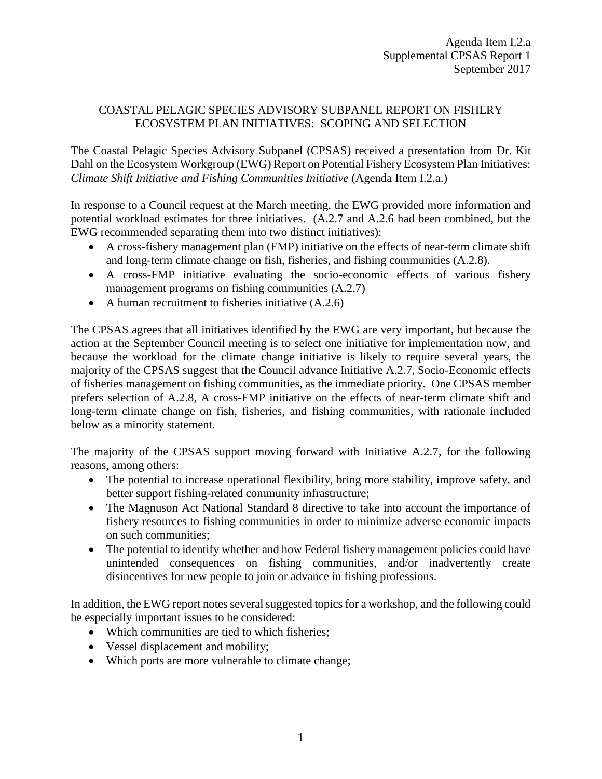## COASTAL PELAGIC SPECIES ADVISORY SUBPANEL REPORT ON FISHERY ECOSYSTEM PLAN INITIATIVES: SCOPING AND SELECTION

The Coastal Pelagic Species Advisory Subpanel (CPSAS) received a presentation from Dr. Kit Dahl on the Ecosystem Workgroup (EWG) Report on Potential Fishery Ecosystem Plan Initiatives: *Climate Shift Initiative and Fishing Communities Initiative* (Agenda Item I.2.a.)

In response to a Council request at the March meeting, the EWG provided more information and potential workload estimates for three initiatives. (A.2.7 and A.2.6 had been combined, but the EWG recommended separating them into two distinct initiatives):

- A cross-fishery management plan (FMP) initiative on the effects of near-term climate shift and long-term climate change on fish, fisheries, and fishing communities (A.2.8).
- A cross-FMP initiative evaluating the socio-economic effects of various fishery management programs on fishing communities (A.2.7)
- A human recruitment to fisheries initiative  $(A.2.6)$

The CPSAS agrees that all initiatives identified by the EWG are very important, but because the action at the September Council meeting is to select one initiative for implementation now, and because the workload for the climate change initiative is likely to require several years, the majority of the CPSAS suggest that the Council advance Initiative A.2.7, Socio-Economic effects of fisheries management on fishing communities, as the immediate priority. One CPSAS member prefers selection of A.2.8, A cross-FMP initiative on the effects of near-term climate shift and long-term climate change on fish, fisheries, and fishing communities, with rationale included below as a minority statement.

The majority of the CPSAS support moving forward with Initiative A.2.7, for the following reasons, among others:

- The potential to increase operational flexibility, bring more stability, improve safety, and better support fishing-related community infrastructure;
- The Magnuson Act National Standard 8 directive to take into account the importance of fishery resources to fishing communities in order to minimize adverse economic impacts on such communities;
- The potential to identify whether and how Federal fishery management policies could have unintended consequences on fishing communities, and/or inadvertently create disincentives for new people to join or advance in fishing professions.

In addition, the EWG report notes several suggested topics for a workshop, and the following could be especially important issues to be considered:

- Which communities are tied to which fisheries;
- Vessel displacement and mobility;
- Which ports are more vulnerable to climate change;